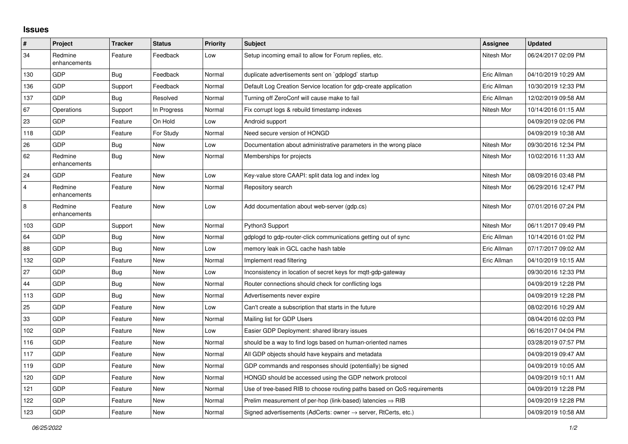## **Issues**

| $\vert$ #      | Project                 | <b>Tracker</b> | <b>Status</b> | Priority | <b>Subject</b>                                                             | Assignee    | <b>Updated</b>      |
|----------------|-------------------------|----------------|---------------|----------|----------------------------------------------------------------------------|-------------|---------------------|
| 34             | Redmine<br>enhancements | Feature        | Feedback      | Low      | Setup incoming email to allow for Forum replies, etc.                      | Nitesh Mor  | 06/24/2017 02:09 PM |
| 130            | <b>GDP</b>              | Bug            | Feedback      | Normal   | duplicate advertisements sent on `gdplogd` startup                         | Eric Allman | 04/10/2019 10:29 AM |
| 136            | <b>GDP</b>              | Support        | Feedback      | Normal   | Default Log Creation Service location for gdp-create application           | Eric Allman | 10/30/2019 12:33 PM |
| 137            | <b>GDP</b>              | Bug            | Resolved      | Normal   | Turning off ZeroConf will cause make to fail                               | Eric Allman | 12/02/2019 09:58 AM |
| 67             | Operations              | Support        | In Progress   | Normal   | Fix corrupt logs & rebuild timestamp indexes                               | Nitesh Mor  | 10/14/2016 01:15 AM |
| 23             | <b>GDP</b>              | Feature        | On Hold       | Low      | Android support                                                            |             | 04/09/2019 02:06 PM |
| 118            | <b>GDP</b>              | Feature        | For Study     | Normal   | Need secure version of HONGD                                               |             | 04/09/2019 10:38 AM |
| 26             | <b>GDP</b>              | Bug            | <b>New</b>    | Low      | Documentation about administrative parameters in the wrong place           | Nitesh Mor  | 09/30/2016 12:34 PM |
| 62             | Redmine<br>enhancements | Bug            | <b>New</b>    | Normal   | Memberships for projects                                                   | Nitesh Mor  | 10/02/2016 11:33 AM |
| 24             | <b>GDP</b>              | Feature        | <b>New</b>    | Low      | Key-value store CAAPI: split data log and index log                        | Nitesh Mor  | 08/09/2016 03:48 PM |
| $\overline{4}$ | Redmine<br>enhancements | Feature        | <b>New</b>    | Normal   | Repository search                                                          | Nitesh Mor  | 06/29/2016 12:47 PM |
| 8              | Redmine<br>enhancements | Feature        | <b>New</b>    | Low      | Add documentation about web-server (gdp.cs)                                | Nitesh Mor  | 07/01/2016 07:24 PM |
| 103            | GDP                     | Support        | <b>New</b>    | Normal   | Python3 Support                                                            | Nitesh Mor  | 06/11/2017 09:49 PM |
| 64             | <b>GDP</b>              | Bug            | <b>New</b>    | Normal   | gdplogd to gdp-router-click communications getting out of sync             | Eric Allman | 10/14/2016 01:02 PM |
| 88             | <b>GDP</b>              | Bug            | <b>New</b>    | Low      | memory leak in GCL cache hash table                                        | Eric Allman | 07/17/2017 09:02 AM |
| 132            | <b>GDP</b>              | Feature        | <b>New</b>    | Normal   | Implement read filtering                                                   | Eric Allman | 04/10/2019 10:15 AM |
| 27             | <b>GDP</b>              | Bug            | <b>New</b>    | Low      | Inconsistency in location of secret keys for mgtt-gdp-gateway              |             | 09/30/2016 12:33 PM |
| 44             | <b>GDP</b>              | Bug            | New           | Normal   | Router connections should check for conflicting logs                       |             | 04/09/2019 12:28 PM |
| 113            | <b>GDP</b>              | Bug            | <b>New</b>    | Normal   | Advertisements never expire                                                |             | 04/09/2019 12:28 PM |
| 25             | GDP                     | Feature        | <b>New</b>    | Low      | Can't create a subscription that starts in the future                      |             | 08/02/2016 10:29 AM |
| 33             | <b>GDP</b>              | Feature        | <b>New</b>    | Normal   | Mailing list for GDP Users                                                 |             | 08/04/2016 02:03 PM |
| 102            | <b>GDP</b>              | Feature        | <b>New</b>    | Low      | Easier GDP Deployment: shared library issues                               |             | 06/16/2017 04:04 PM |
| 116            | <b>GDP</b>              | Feature        | <b>New</b>    | Normal   | should be a way to find logs based on human-oriented names                 |             | 03/28/2019 07:57 PM |
| 117            | <b>GDP</b>              | Feature        | <b>New</b>    | Normal   | All GDP objects should have keypairs and metadata                          |             | 04/09/2019 09:47 AM |
| 119            | <b>GDP</b>              | Feature        | <b>New</b>    | Normal   | GDP commands and responses should (potentially) be signed                  |             | 04/09/2019 10:05 AM |
| 120            | <b>GDP</b>              | Feature        | <b>New</b>    | Normal   | HONGD should be accessed using the GDP network protocol                    |             | 04/09/2019 10:11 AM |
| 121            | <b>GDP</b>              | Feature        | <b>New</b>    | Normal   | Use of tree-based RIB to choose routing paths based on QoS requirements    |             | 04/09/2019 12:28 PM |
| 122            | GDP                     | Feature        | <b>New</b>    | Normal   | Prelim measurement of per-hop (link-based) latencies $\Rightarrow$ RIB     |             | 04/09/2019 12:28 PM |
| 123            | GDP                     | Feature        | New           | Normal   | Signed advertisements (AdCerts: owner $\rightarrow$ server, RtCerts, etc.) |             | 04/09/2019 10:58 AM |